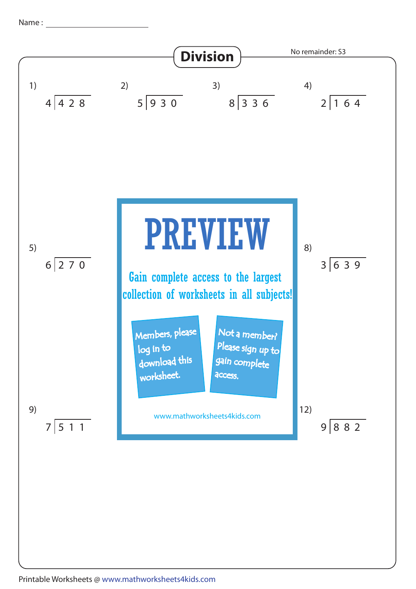